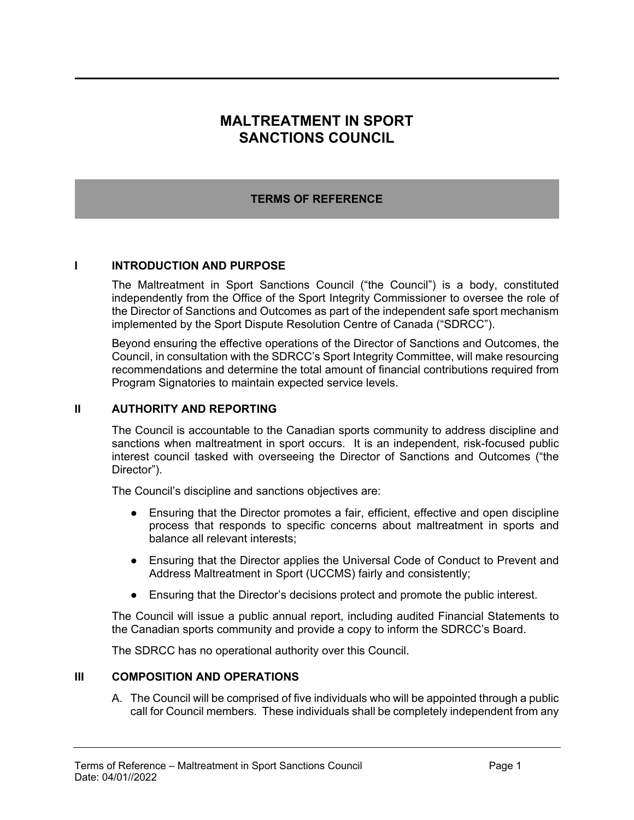# **MALTREATMENT IN SPORT SANCTIONS COUNCIL**

## **TERMS OF REFERENCE**

#### **I INTRODUCTION AND PURPOSE**

The Maltreatment in Sport Sanctions Council ("the Council") is a body, constituted independently from the Office of the Sport Integrity Commissioner to oversee the role of the Director of Sanctions and Outcomes as part of the independent safe sport mechanism implemented by the Sport Dispute Resolution Centre of Canada ("SDRCC").

Beyond ensuring the effective operations of the Director of Sanctions and Outcomes, the Council, in consultation with the SDRCC's Sport Integrity Committee, will make resourcing recommendations and determine the total amount of financial contributions required from Program Signatories to maintain expected service levels.

#### **II AUTHORITY AND REPORTING**

The Council is accountable to the Canadian sports community to address discipline and sanctions when maltreatment in sport occurs. It is an independent, risk-focused public interest council tasked with overseeing the Director of Sanctions and Outcomes ("the Director").

The Council's discipline and sanctions objectives are:

- Ensuring that the Director promotes a fair, efficient, effective and open discipline process that responds to specific concerns about maltreatment in sports and balance all relevant interests;
- Ensuring that the Director applies the Universal Code of Conduct to Prevent and Address Maltreatment in Sport (UCCMS) fairly and consistently;
- Ensuring that the Director's decisions protect and promote the public interest.

The Council will issue a public annual report, including audited Financial Statements to the Canadian sports community and provide a copy to inform the SDRCC's Board.

The SDRCC has no operational authority over this Council.

#### **III COMPOSITION AND OPERATIONS**

A. The Council will be comprised of five individuals who will be appointed through a public call for Council members. These individuals shall be completely independent from any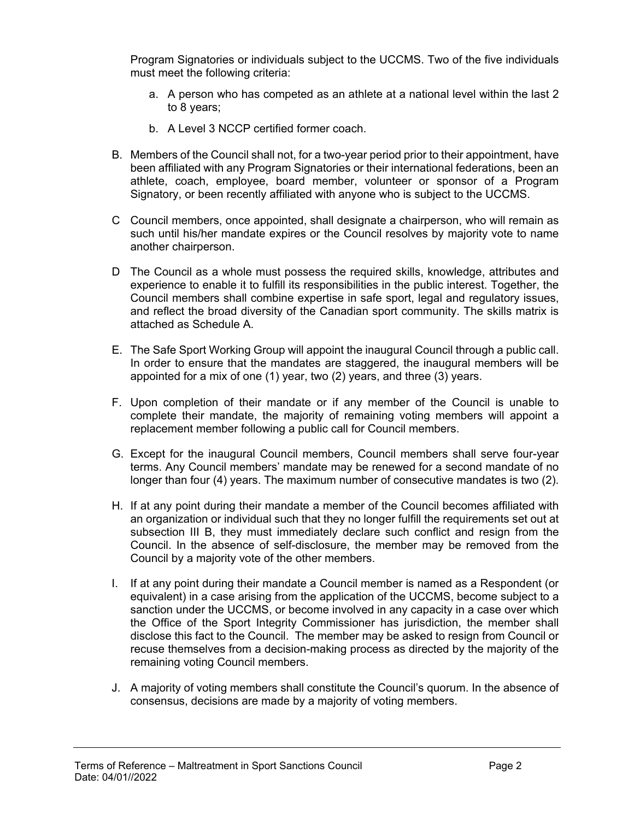Program Signatories or individuals subject to the UCCMS. Two of the five individuals must meet the following criteria:

- a. A person who has competed as an athlete at a national level within the last 2 to 8 years;
- b. A Level 3 NCCP certified former coach.
- B. Members of the Council shall not, for a two-year period prior to their appointment, have been affiliated with any Program Signatories or their international federations, been an athlete, coach, employee, board member, volunteer or sponsor of a Program Signatory, or been recently affiliated with anyone who is subject to the UCCMS.
- C Council members, once appointed, shall designate a chairperson, who will remain as such until his/her mandate expires or the Council resolves by majority vote to name another chairperson.
- D The Council as a whole must possess the required skills, knowledge, attributes and experience to enable it to fulfill its responsibilities in the public interest. Together, the Council members shall combine expertise in safe sport, legal and regulatory issues, and reflect the broad diversity of the Canadian sport community. The skills matrix is attached as Schedule A.
- E. The Safe Sport Working Group will appoint the inaugural Council through a public call. In order to ensure that the mandates are staggered, the inaugural members will be appointed for a mix of one (1) year, two (2) years, and three (3) years.
- F. Upon completion of their mandate or if any member of the Council is unable to complete their mandate, the majority of remaining voting members will appoint a replacement member following a public call for Council members.
- G. Except for the inaugural Council members, Council members shall serve four-year terms. Any Council members' mandate may be renewed for a second mandate of no longer than four (4) years. The maximum number of consecutive mandates is two (2).
- H. If at any point during their mandate a member of the Council becomes affiliated with an organization or individual such that they no longer fulfill the requirements set out at subsection III B, they must immediately declare such conflict and resign from the Council. In the absence of self-disclosure, the member may be removed from the Council by a majority vote of the other members.
- I. If at any point during their mandate a Council member is named as a Respondent (or equivalent) in a case arising from the application of the UCCMS, become subject to a sanction under the UCCMS, or become involved in any capacity in a case over which the Office of the Sport Integrity Commissioner has jurisdiction, the member shall disclose this fact to the Council. The member may be asked to resign from Council or recuse themselves from a decision-making process as directed by the majority of the remaining voting Council members.
- J. A majority of voting members shall constitute the Council's quorum. In the absence of consensus, decisions are made by a majority of voting members.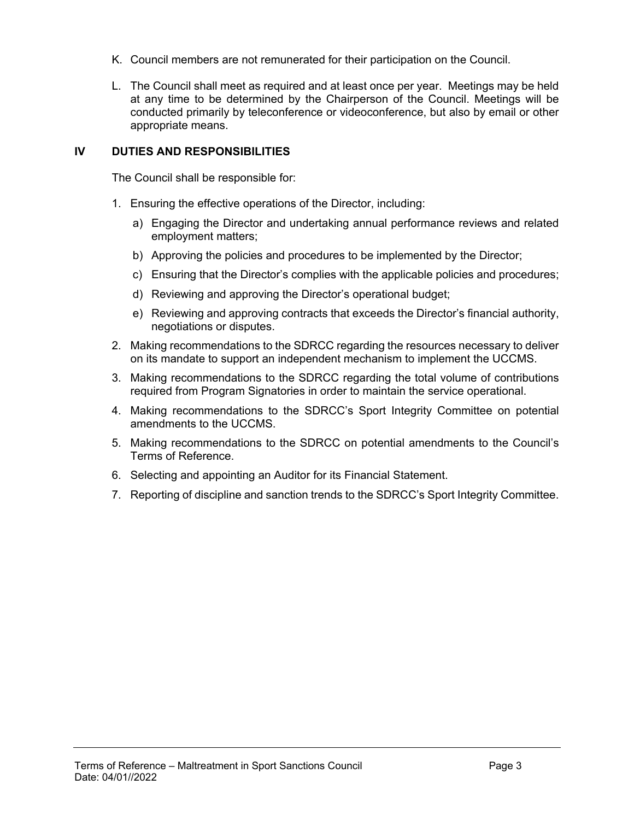- K. Council members are not remunerated for their participation on the Council.
- L. The Council shall meet as required and at least once per year. Meetings may be held at any time to be determined by the Chairperson of the Council. Meetings will be conducted primarily by teleconference or videoconference, but also by email or other appropriate means.

### **IV DUTIES AND RESPONSIBILITIES**

The Council shall be responsible for:

- 1. Ensuring the effective operations of the Director, including:
	- a) Engaging the Director and undertaking annual performance reviews and related employment matters;
	- b) Approving the policies and procedures to be implemented by the Director;
	- c) Ensuring that the Director's complies with the applicable policies and procedures;
	- d) Reviewing and approving the Director's operational budget;
	- e) Reviewing and approving contracts that exceeds the Director's financial authority, negotiations or disputes.
- 2. Making recommendations to the SDRCC regarding the resources necessary to deliver on its mandate to support an independent mechanism to implement the UCCMS.
- 3. Making recommendations to the SDRCC regarding the total volume of contributions required from Program Signatories in order to maintain the service operational.
- 4. Making recommendations to the SDRCC's Sport Integrity Committee on potential amendments to the UCCMS.
- 5. Making recommendations to the SDRCC on potential amendments to the Council's Terms of Reference.
- 6. Selecting and appointing an Auditor for its Financial Statement.
- 7. Reporting of discipline and sanction trends to the SDRCC's Sport Integrity Committee.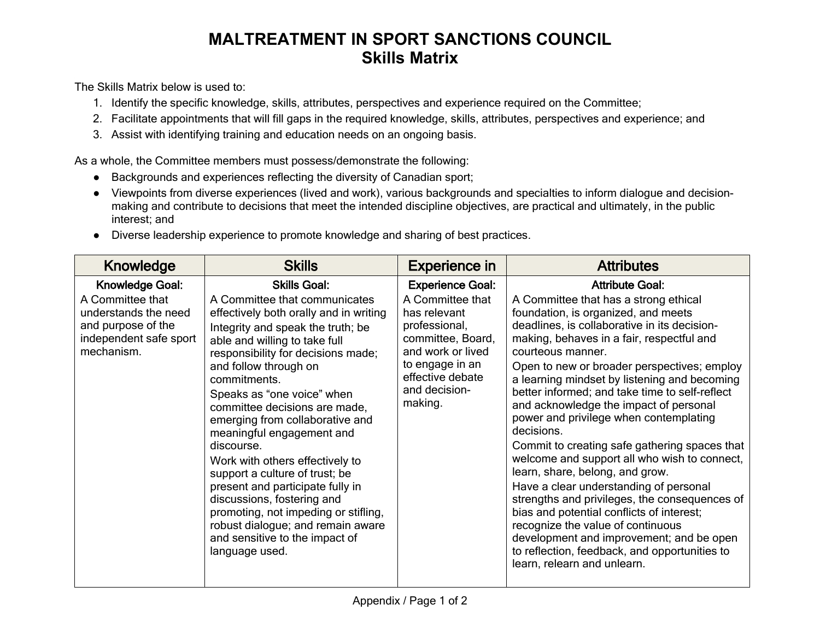# **MALTREATMENT IN SPORT SANCTIONS COUNCIL Skills Matrix**

The Skills Matrix below is used to:

- 1. Identify the specific knowledge, skills, attributes, perspectives and experience required on the Committee;
- 2. Facilitate appointments that will fill gaps in the required knowledge, skills, attributes, perspectives and experience; and
- 3. Assist with identifying training and education needs on an ongoing basis.

As a whole, the Committee members must possess/demonstrate the following:

- Backgrounds and experiences reflecting the diversity of Canadian sport;
- Viewpoints from diverse experiences (lived and work), various backgrounds and specialties to inform dialogue and decisionmaking and contribute to decisions that meet the intended discipline objectives, are practical and ultimately, in the public interest; and
- Diverse leadership experience to promote knowledge and sharing of best practices.

| Knowledge                                                                                                                        | <b>Skills</b>                                                                                                                                                                                                                                                                                                                                                                                                                                                                                                                                                                                                                                                            | <b>Experience in</b>                                                                                                                                                                      | <b>Attributes</b>                                                                                                                                                                                                                                                                                                                                                                                                                                                                                                                                                                                                                                                                                                                                                                                                                                                                                                        |
|----------------------------------------------------------------------------------------------------------------------------------|--------------------------------------------------------------------------------------------------------------------------------------------------------------------------------------------------------------------------------------------------------------------------------------------------------------------------------------------------------------------------------------------------------------------------------------------------------------------------------------------------------------------------------------------------------------------------------------------------------------------------------------------------------------------------|-------------------------------------------------------------------------------------------------------------------------------------------------------------------------------------------|--------------------------------------------------------------------------------------------------------------------------------------------------------------------------------------------------------------------------------------------------------------------------------------------------------------------------------------------------------------------------------------------------------------------------------------------------------------------------------------------------------------------------------------------------------------------------------------------------------------------------------------------------------------------------------------------------------------------------------------------------------------------------------------------------------------------------------------------------------------------------------------------------------------------------|
| <b>Knowledge Goal:</b><br>A Committee that<br>understands the need<br>and purpose of the<br>independent safe sport<br>mechanism. | <b>Skills Goal:</b><br>A Committee that communicates<br>effectively both orally and in writing<br>Integrity and speak the truth; be<br>able and willing to take full<br>responsibility for decisions made;<br>and follow through on<br>commitments.<br>Speaks as "one voice" when<br>committee decisions are made,<br>emerging from collaborative and<br>meaningful engagement and<br>discourse.<br>Work with others effectively to<br>support a culture of trust; be<br>present and participate fully in<br>discussions, fostering and<br>promoting, not impeding or stifling,<br>robust dialogue; and remain aware<br>and sensitive to the impact of<br>language used. | <b>Experience Goal:</b><br>A Committee that<br>has relevant<br>professional,<br>committee, Board,<br>and work or lived<br>to engage in an<br>effective debate<br>and decision-<br>making. | <b>Attribute Goal:</b><br>A Committee that has a strong ethical<br>foundation, is organized, and meets<br>deadlines, is collaborative in its decision-<br>making, behaves in a fair, respectful and<br>courteous manner.<br>Open to new or broader perspectives; employ<br>a learning mindset by listening and becoming<br>better informed; and take time to self-reflect<br>and acknowledge the impact of personal<br>power and privilege when contemplating<br>decisions.<br>Commit to creating safe gathering spaces that<br>welcome and support all who wish to connect,<br>learn, share, belong, and grow.<br>Have a clear understanding of personal<br>strengths and privileges, the consequences of<br>bias and potential conflicts of interest;<br>recognize the value of continuous<br>development and improvement; and be open<br>to reflection, feedback, and opportunities to<br>learn, relearn and unlearn. |